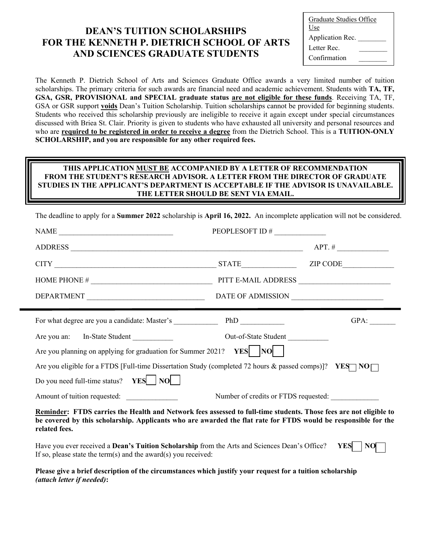## **DEAN'S TUITION SCHOLARSHIPS FOR THE KENNETH P. DIETRICH SCHOOL OF ARTS AND SCIENCES GRADUATE STUDENTS**

| Graduate Studies Office |  |  |
|-------------------------|--|--|
| Use                     |  |  |
| Application Rec.        |  |  |
| Letter Rec.             |  |  |
| Confirmation            |  |  |

The Kenneth P. Dietrich School of Arts and Sciences Graduate Office awards a very limited number of tuition scholarships. The primary criteria for such awards are financial need and academic achievement. Students with **TA, TF, GSA, GSR, PROVISIONAL and SPECIAL graduate status are not eligible for these funds**. Receiving TA, TF, GSA or GSR support **voids** Dean's Tuition Scholarship. Tuition scholarships cannot be provided for beginning students. Students who received this scholarship previously are ineligible to receive it again except under special circumstances discussed with Briea St. Clair. Priority is given to students who have exhausted all university and personal resources and who are **required to be registered in order to receive a degree** from the Dietrich School. This is a **TUITION-ONLY SCHOLARSHIP, and you are responsible for any other required fees.**

## **THIS APPLICATION MUST BE ACCOMPANIED BY A LETTER OF RECOMMENDATION FROM THE STUDENT'S RESEARCH ADVISOR. A LETTER FROM THE DIRECTOR OF GRADUATE STUDIES IN THE APPLICANT'S DEPARTMENT IS ACCEPTABLE IF THE ADVISOR IS UNAVAILABLE. THE LETTER SHOULD BE SENT VIA EMAIL.**

The deadline to apply for a **Summer 2022** scholarship is **April 16, 2022.** An incomplete application will not be considered.

| $\begin{tabular}{c} \bf{NAME} \end{tabular}$                                                                                                                                                                                                         | PEOPLESOFT ID #                      |      |  |  |
|------------------------------------------------------------------------------------------------------------------------------------------------------------------------------------------------------------------------------------------------------|--------------------------------------|------|--|--|
| $ADDRESS$ $APT. #$ $APT. #$                                                                                                                                                                                                                          |                                      |      |  |  |
|                                                                                                                                                                                                                                                      |                                      |      |  |  |
|                                                                                                                                                                                                                                                      |                                      |      |  |  |
|                                                                                                                                                                                                                                                      |                                      |      |  |  |
| For what degree are you a candidate: Master's ___________________________________                                                                                                                                                                    |                                      | GPA: |  |  |
| Are you an: In-State Student                                                                                                                                                                                                                         | Out-of-State Student                 |      |  |  |
| Are you planning on applying for graduation for Summer 2021? $YES$ $ NO $                                                                                                                                                                            |                                      |      |  |  |
| Are you eligible for a FTDS [Full-time Dissertation Study (completed 72 hours & passed comps)]? YES NO                                                                                                                                               |                                      |      |  |  |
| Do you need full-time status? $YES$ $NO$ $ $                                                                                                                                                                                                         |                                      |      |  |  |
| Amount of tuition requested:                                                                                                                                                                                                                         | Number of credits or FTDS requested: |      |  |  |
| Reminder: FTDS carries the Health and Network fees assessed to full-time students. Those fees are not eligible to<br>be covered by this scholarship. Applicants who are awarded the flat rate for FTDS would be responsible for the<br>related fees. |                                      |      |  |  |
| Have you ever received a Dean's Tuition Scholarship from the Arts and Sciences Dean's Office?<br><b>YES</b><br><b>NO</b><br>If so, please state the term(s) and the award(s) you received:                                                           |                                      |      |  |  |
| Please give a brief description of the circumstances which justify your request for a tuition scholarship                                                                                                                                            |                                      |      |  |  |

*(attach letter if needed)***:**